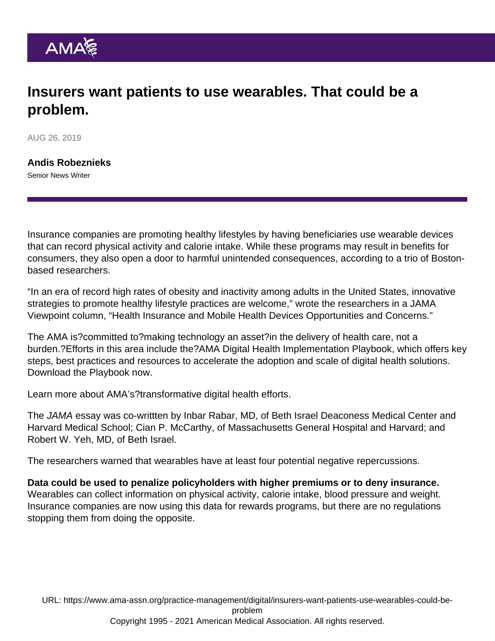## Insurers want patients to use wearables. That could be a problem.

AUG 26, 2019

[Andis Robeznieks](https://www.ama-assn.org/news-leadership-viewpoints/authors-news-leadership-viewpoints/andis-robeznieks) Senior News Writer

Insurance companies are promoting healthy lifestyles by having beneficiaries use wearable devices that can record physical activity and calorie intake. While these programs may result in benefits for consumers, they also open a door to harmful unintended consequences, according to a trio of Bostonbased researchers.

"In an era of record high rates of obesity and inactivity among adults in the United States, innovative strategies to promote healthy lifestyle practices are welcome," wrote the researchers in a JAMA Viewpoint column, "[Health Insurance and Mobile Health Devices Opportunities and Concerns](https://jamanetwork.com/journals/jama/article-abstract/2730948)."

The AMA is?committed to?making technology an asset?in the delivery of health care, not a burden.?Efforts in this area include the[?AMA Digital Health Implementation Playbook,](https://www.ama-assn.org/amaone/ama-digital-health-implementation-playbook) which offers key steps, best practices and resources to accelerate the adoption and scale of digital health solutions. [Download the Playbook now](https://cloud.e.ama-assn.org/dhpb).

Learn more about AMA's[?transformative digital health efforts.](https://www.ama-assn.org/practice-management/digital)

The JAMA essay was co-writtten by Inbar Rabar, MD, of Beth Israel Deaconess Medical Center and Harvard Medical School; Cian P. McCarthy, of Massachusetts General Hospital and Harvard; and Robert W. Yeh, MD, of Beth Israel.

The researchers warned that wearables have at least four potential negative repercussions.

Data could be used to penalize policyholders with higher premiums or to deny insurance. Wearables can collect information on physical activity, calorie intake, blood pressure and weight. Insurance companies are now using this data for rewards programs, but there are no regulations stopping them from doing the opposite.

URL: [https://www.ama-assn.org/practice-management/digital/insurers-want-patients-use-wearables-could-be](https://www.ama-assn.org/practice-management/digital/insurers-want-patients-use-wearables-could-be-problem)[problem](https://www.ama-assn.org/practice-management/digital/insurers-want-patients-use-wearables-could-be-problem) Copyright 1995 - 2021 American Medical Association. All rights reserved.